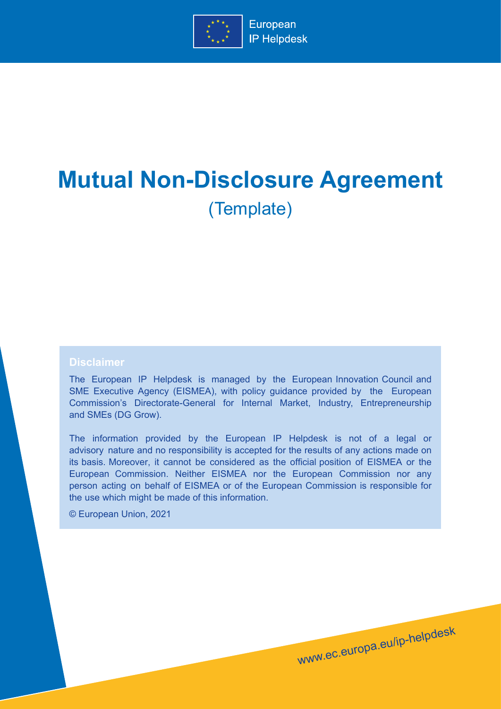

# **Mutual Non-Disclosure Agreement** (Template)

#### **Disclaimer**

The European IP Helpdesk is managed by the European Innovation Council and SME Executive Agency (EISMEA), with policy guidance provided by the European Commission's Directorate-General for Internal Market, Industry, Entrepreneurship and SMEs (DG Grow).

The information provided by the European IP Helpdesk is not of a legal or advisory nature and no responsibility is accepted for the results of any actions made on its basis. Moreover, it cannot be considered as the official position of EISMEA or the European Commission. Neither EISMEA nor the European Commission nor any person acting on behalf of EISMEA or of the European Commission is responsible for the use which might be made of this information.

www.ec.europa.eu/ip-helpdesk

© European Union, 2021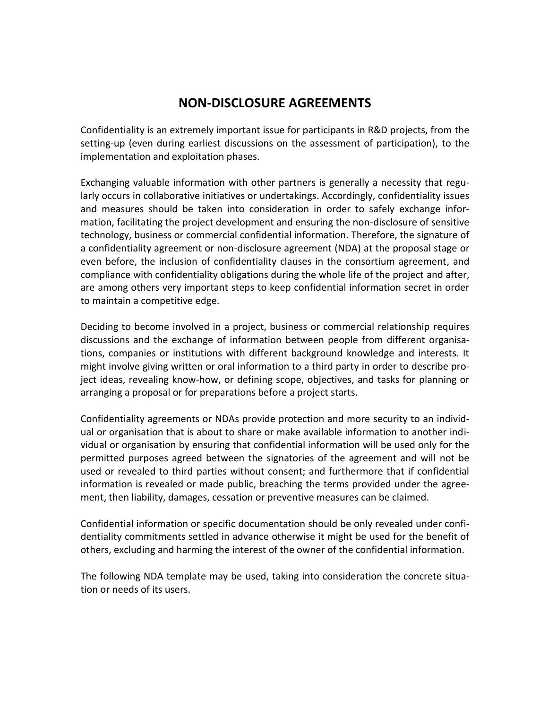## **NON-DISCLOSURE AGREEMENTS**

Confidentiality is an extremely important issue for participants in R&D projects, from the setting-up (even during earliest discussions on the assessment of participation), to the implementation and exploitation phases.

Exchanging valuable information with other partners is generally a necessity that regularly occurs in collaborative initiatives or undertakings. Accordingly, confidentiality issues and measures should be taken into consideration in order to safely exchange information, facilitating the project development and ensuring the non-disclosure of sensitive technology, business or commercial confidential information. Therefore, the signature of a confidentiality agreement or non-disclosure agreement (NDA) at the proposal stage or even before, the inclusion of confidentiality clauses in the consortium agreement, and compliance with confidentiality obligations during the whole life of the project and after, are among others very important steps to keep confidential information secret in order to maintain a competitive edge.

Deciding to become involved in a project, business or commercial relationship requires discussions and the exchange of information between people from different organisations, companies or institutions with different background knowledge and interests. It might involve giving written or oral information to a third party in order to describe project ideas, revealing know-how, or defining scope, objectives, and tasks for planning or arranging a proposal or for preparations before a project starts.

Confidentiality agreements or NDAs provide protection and more security to an individual or organisation that is about to share or make available information to another individual or organisation by ensuring that confidential information will be used only for the permitted purposes agreed between the signatories of the agreement and will not be used or revealed to third parties without consent; and furthermore that if confidential information is revealed or made public, breaching the terms provided under the agreement, then liability, damages, cessation or preventive measures can be claimed.

Confidential information or specific documentation should be only revealed under confidentiality commitments settled in advance otherwise it might be used for the benefit of others, excluding and harming the interest of the owner of the confidential information.

The following NDA template may be used, taking into consideration the concrete situation or needs of its users.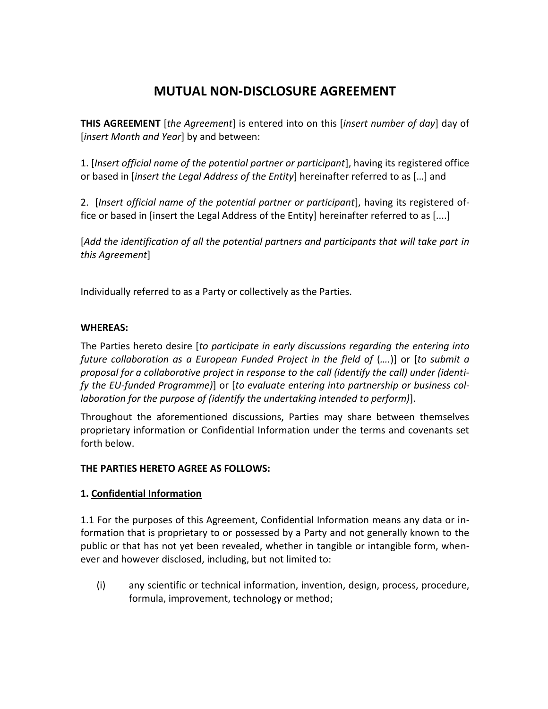## **MUTUAL NON-DISCLOSURE AGREEMENT**

**THIS AGREEMENT** [*the Agreement*] is entered into on this [*insert number of day*] day of [*insert Month and Year*] by and between:

1. [*Insert official name of the potential partner or participant*], having its registered office or based in [*insert the Legal Address of the Entity*] hereinafter referred to as […] and

2. [*Insert official name of the potential partner or participant*], having its registered office or based in [insert the Legal Address of the Entity] hereinafter referred to as [....]

[*Add the identification of all the potential partners and participants that will take part in this Agreement*]

Individually referred to as a Party or collectively as the Parties.

#### **WHEREAS:**

The Parties hereto desire [*to participate in early discussions regarding the entering into future collaboration as a European Funded Project in the field of* (*….*)] or [*to submit a proposal for a collaborative project in response to the call (identify the call) under (identify the EU-funded Programme)*] or [*to evaluate entering into partnership or business collaboration for the purpose of (identify the undertaking intended to perform)*].

Throughout the aforementioned discussions, Parties may share between themselves proprietary information or Confidential Information under the terms and covenants set forth below.

#### **THE PARTIES HERETO AGREE AS FOLLOWS:**

#### **1. Confidential Information**

1.1 For the purposes of this Agreement, Confidential Information means any data or information that is proprietary to or possessed by a Party and not generally known to the public or that has not yet been revealed, whether in tangible or intangible form, whenever and however disclosed, including, but not limited to:

(i) any scientific or technical information, invention, design, process, procedure, formula, improvement, technology or method;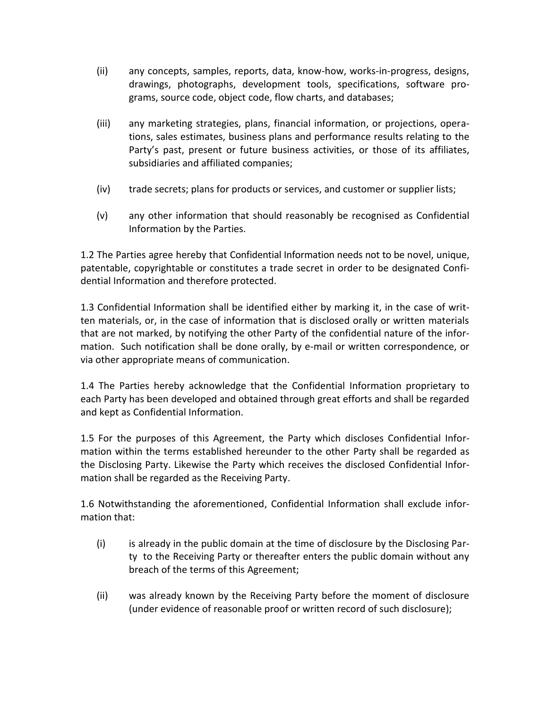- (ii) any concepts, samples, reports, data, know-how, works-in-progress, designs, drawings, photographs, development tools, specifications, software programs, source code, object code, flow charts, and databases;
- (iii) any marketing strategies, plans, financial information, or projections, operations, sales estimates, business plans and performance results relating to the Party's past, present or future business activities, or those of its affiliates, subsidiaries and affiliated companies;
- (iv) trade secrets; plans for products or services, and customer or supplier lists;
- (v) any other information that should reasonably be recognised as Confidential Information by the Parties.

1.2 The Parties agree hereby that Confidential Information needs not to be novel, unique, patentable, copyrightable or constitutes a trade secret in order to be designated Confidential Information and therefore protected.

1.3 Confidential Information shall be identified either by marking it, in the case of written materials, or, in the case of information that is disclosed orally or written materials that are not marked, by notifying the other Party of the confidential nature of the information. Such notification shall be done orally, by e-mail or written correspondence, or via other appropriate means of communication.

1.4 The Parties hereby acknowledge that the Confidential Information proprietary to each Party has been developed and obtained through great efforts and shall be regarded and kept as Confidential Information.

1.5 For the purposes of this Agreement, the Party which discloses Confidential Information within the terms established hereunder to the other Party shall be regarded as the Disclosing Party. Likewise the Party which receives the disclosed Confidential Information shall be regarded as the Receiving Party.

1.6 Notwithstanding the aforementioned, Confidential Information shall exclude information that:

- (i) is already in the public domain at the time of disclosure by the Disclosing Party to the Receiving Party or thereafter enters the public domain without any breach of the terms of this Agreement;
- (ii) was already known by the Receiving Party before the moment of disclosure (under evidence of reasonable proof or written record of such disclosure);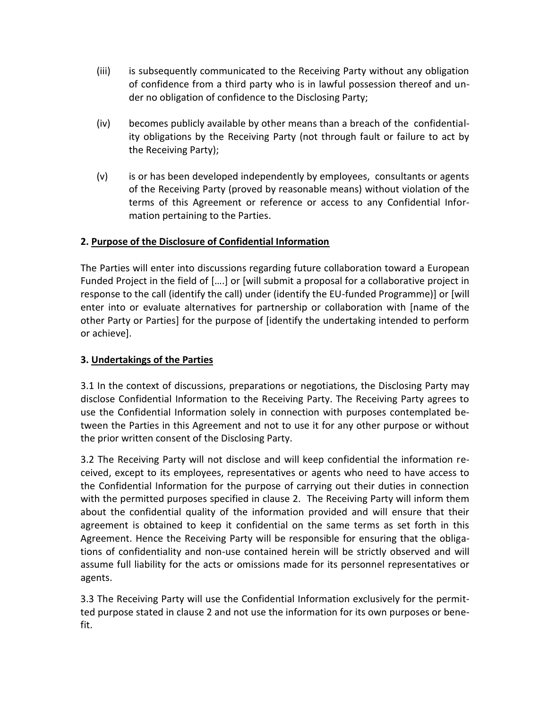- (iii) is subsequently communicated to the Receiving Party without any obligation of confidence from a third party who is in lawful possession thereof and under no obligation of confidence to the Disclosing Party;
- (iv) becomes publicly available by other means than a breach of the confidentiality obligations by the Receiving Party (not through fault or failure to act by the Receiving Party);
- (v) is or has been developed independently by employees, consultants or agents of the Receiving Party (proved by reasonable means) without violation of the terms of this Agreement or reference or access to any Confidential Information pertaining to the Parties.

### **2. Purpose of the Disclosure of Confidential Information**

The Parties will enter into discussions regarding future collaboration toward a European Funded Project in the field of [….] or [will submit a proposal for a collaborative project in response to the call (identify the call) under (identify the EU-funded Programme)] or [will enter into or evaluate alternatives for partnership or collaboration with [name of the other Party or Parties] for the purpose of [identify the undertaking intended to perform or achieve].

#### **3. Undertakings of the Parties**

3.1 In the context of discussions, preparations or negotiations, the Disclosing Party may disclose Confidential Information to the Receiving Party. The Receiving Party agrees to use the Confidential Information solely in connection with purposes contemplated between the Parties in this Agreement and not to use it for any other purpose or without the prior written consent of the Disclosing Party.

3.2 The Receiving Party will not disclose and will keep confidential the information received, except to its employees, representatives or agents who need to have access to the Confidential Information for the purpose of carrying out their duties in connection with the permitted purposes specified in clause 2. The Receiving Party will inform them about the confidential quality of the information provided and will ensure that their agreement is obtained to keep it confidential on the same terms as set forth in this Agreement. Hence the Receiving Party will be responsible for ensuring that the obligations of confidentiality and non-use contained herein will be strictly observed and will assume full liability for the acts or omissions made for its personnel representatives or agents.

3.3 The Receiving Party will use the Confidential Information exclusively for the permitted purpose stated in clause 2 and not use the information for its own purposes or benefit.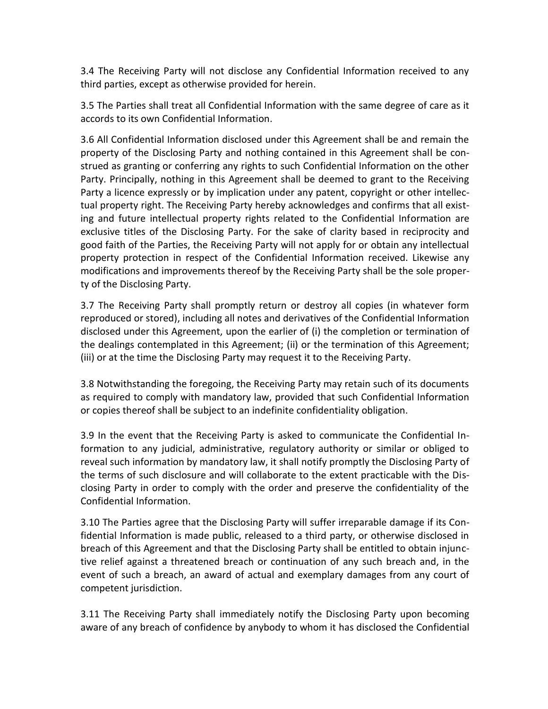3.4 The Receiving Party will not disclose any Confidential Information received to any third parties, except as otherwise provided for herein.

3.5 The Parties shall treat all Confidential Information with the same degree of care as it accords to its own Confidential Information.

3.6 All Confidential Information disclosed under this Agreement shall be and remain the property of the Disclosing Party and nothing contained in this Agreement shall be construed as granting or conferring any rights to such Confidential Information on the other Party. Principally, nothing in this Agreement shall be deemed to grant to the Receiving Party a licence expressly or by implication under any patent, copyright or other intellectual property right. The Receiving Party hereby acknowledges and confirms that all existing and future intellectual property rights related to the Confidential Information are exclusive titles of the Disclosing Party. For the sake of clarity based in reciprocity and good faith of the Parties, the Receiving Party will not apply for or obtain any intellectual property protection in respect of the Confidential Information received. Likewise any modifications and improvements thereof by the Receiving Party shall be the sole property of the Disclosing Party.

3.7 The Receiving Party shall promptly return or destroy all copies (in whatever form reproduced or stored), including all notes and derivatives of the Confidential Information disclosed under this Agreement, upon the earlier of (i) the completion or termination of the dealings contemplated in this Agreement; (ii) or the termination of this Agreement; (iii) or at the time the Disclosing Party may request it to the Receiving Party.

3.8 Notwithstanding the foregoing, the Receiving Party may retain such of its documents as required to comply with mandatory law, provided that such Confidential Information or copies thereof shall be subject to an indefinite confidentiality obligation.

3.9 In the event that the Receiving Party is asked to communicate the Confidential Information to any judicial, administrative, regulatory authority or similar or obliged to reveal such information by mandatory law, it shall notify promptly the Disclosing Party of the terms of such disclosure and will collaborate to the extent practicable with the Disclosing Party in order to comply with the order and preserve the confidentiality of the Confidential Information.

3.10 The Parties agree that the Disclosing Party will suffer irreparable damage if its Confidential Information is made public, released to a third party, or otherwise disclosed in breach of this Agreement and that the Disclosing Party shall be entitled to obtain injunctive relief against a threatened breach or continuation of any such breach and, in the event of such a breach, an award of actual and exemplary damages from any court of competent jurisdiction.

3.11 The Receiving Party shall immediately notify the Disclosing Party upon becoming aware of any breach of confidence by anybody to whom it has disclosed the Confidential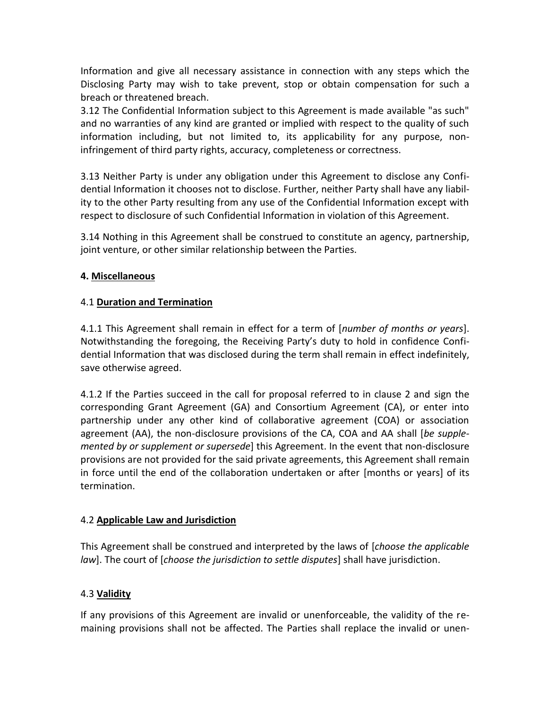Information and give all necessary assistance in connection with any steps which the Disclosing Party may wish to take prevent, stop or obtain compensation for such a breach or threatened breach.

3.12 The Confidential Information subject to this Agreement is made available "as such" and no warranties of any kind are granted or implied with respect to the quality of such information including, but not limited to, its applicability for any purpose, noninfringement of third party rights, accuracy, completeness or correctness.

3.13 Neither Party is under any obligation under this Agreement to disclose any Confidential Information it chooses not to disclose. Further, neither Party shall have any liability to the other Party resulting from any use of the Confidential Information except with respect to disclosure of such Confidential Information in violation of this Agreement.

3.14 Nothing in this Agreement shall be construed to constitute an agency, partnership, joint venture, or other similar relationship between the Parties.

#### **4. Miscellaneous**

#### 4.1 **Duration and Termination**

4.1.1 This Agreement shall remain in effect for a term of [*number of months or years*]. Notwithstanding the foregoing, the Receiving Party's duty to hold in confidence Confidential Information that was disclosed during the term shall remain in effect indefinitely, save otherwise agreed.

4.1.2 If the Parties succeed in the call for proposal referred to in clause 2 and sign the corresponding Grant Agreement (GA) and Consortium Agreement (CA), or enter into partnership under any other kind of collaborative agreement (COA) or association agreement (AA), the non-disclosure provisions of the CA, COA and AA shall [*be supplemented by or supplement or supersede*] this Agreement. In the event that non-disclosure provisions are not provided for the said private agreements, this Agreement shall remain in force until the end of the collaboration undertaken or after [months or years] of its termination.

#### 4.2 **Applicable Law and Jurisdiction**

This Agreement shall be construed and interpreted by the laws of [*choose the applicable law*]. The court of [*choose the jurisdiction to settle disputes*] shall have jurisdiction.

#### 4.3 **Validity**

If any provisions of this Agreement are invalid or unenforceable, the validity of the remaining provisions shall not be affected. The Parties shall replace the invalid or unen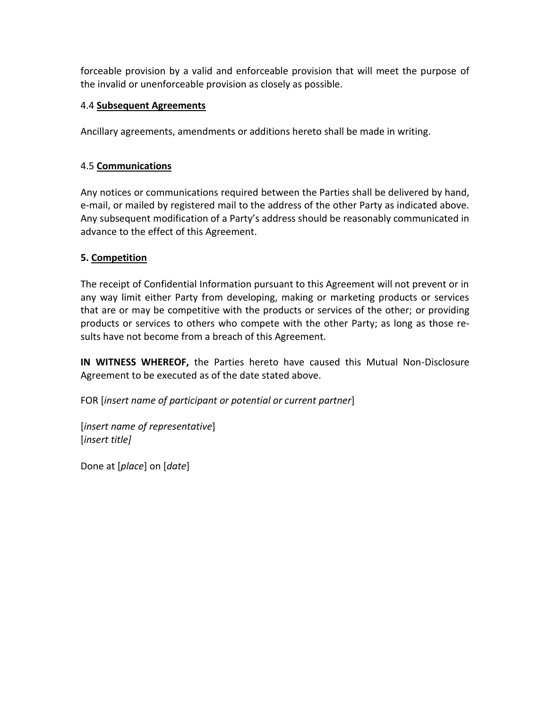forceable provision by a valid and enforceable provision that will meet the purpose of the invalid or unenforceable provision as closely as possible.

#### 4.4 **Subsequent Agreements**

Ancillary agreements, amendments or additions hereto shall be made in writing.

#### 4.5 **Communications**

Any notices or communications required between the Parties shall be delivered by hand, e-mail, or mailed by registered mail to the address of the other Party as indicated above. Any subsequent modification of a Party's address should be reasonably communicated in advance to the effect of this Agreement.

### **5. Competition**

The receipt of Confidential Information pursuant to this Agreement will not prevent or in any way limit either Party from developing, making or marketing products or services that are or may be competitive with the products or services of the other; or providing products or services to others who compete with the other Party; as long as those results have not become from a breach of this Agreement.

**IN WITNESS WHEREOF,** the Parties hereto have caused this Mutual Non-Disclosure Agreement to be executed as of the date stated above.

FOR [*insert name of participant or potential or current partner*]

[*insert name of representative*] [*insert title]*

Done at [*place*] on [*date*]